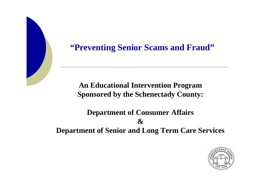#### **"Preventing Senior Scams and Fraud"**

**An Educational Intervention Program Sponsored by the Schenectady County:**

**Department of Consumer Affairs&Department of Senior and Long Term Care Services**

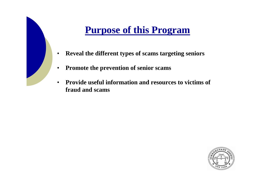### **Purpose of this Program**

- $\bullet$ **Reveal the different types of scams targeting seniors**
- •**Promote the prevention of senior scams**
- • **Provide useful information and resources to victims of fraud and scams**

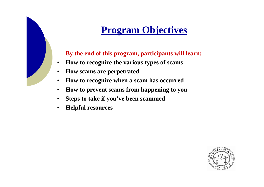# **Program Objectives**

**By the end of this program, participants will learn:**

- •**How to recognize the various types of scams**
- •**How scams are perpetrated**
- •**How to recognize when a scam has occurred**
- •**How to prevent scams from happening to you**
- $\bullet$ **Steps to take if you've been scammed**
- •**Helpful resources**

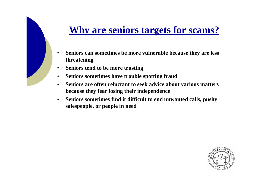#### **Why are seniors targets for scams?**

- • **Seniors can sometimes be more vulnerable because they are less threatening**
- •**Seniors tend to be more trusting**
- •**Seniors sometimes have trouble spotting fraud**
- • **Seniors are often reluctant to seek advice about various mattersbecause they fear losing their independence**
- • **Seniors sometimes find it difficult to end unwanted calls, pushysalespeople, or people in need**

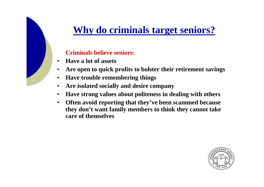### **Why do criminals target seniors?**

#### **Criminals believe seniors:**

- •**Have a lot of assets**
- •**Are open to quick profits to bolster their retirement savings**
- •**Have trouble remembering things**
- •**Are isolated socially and desire company**
- **Have strong values about politeness in dealing with others** $\bullet$
- $\bullet$  **Often avoid reporting that they've been scammed because they don't want family members to think they cannot take care of themselves**

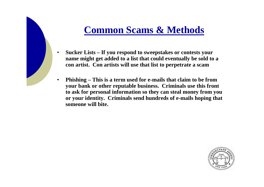#### **Common Scams & Methods**

- • **Sucker Lists – If you respond to sweepstakes or contests your name might get added to a list that could eventually be sold to a con artist. Con artists will use that list to perpetrate a scam**
- • **Phishing – This is a term used for e-mails that claim to be from your bank or other reputable business. Criminals use this front to ask for personal information so they can steal money from you or your identity. Criminals send hundreds of e-mails hoping that someone will bite.**

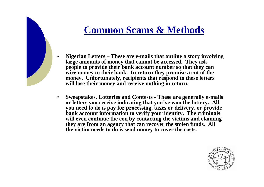#### **Common Scams & Methods**

 **Nigerian Letters – These are e-mails that outline a story involving large amounts of money that cannot be accessed. They ask people to provide their bank account number so that they can wire money to their bank. In return they promise a cut of the money. Unfortunately, recipients that respond to these letters will lose their money and receive nothing in return.**

•

• **Sweepstakes, Lotteries and Contests - These are generally e-mails or letters you receive indicating that you've won the lottery. All you need to do is pay for processing, taxes or delivery, or provide bank account information to verify your identity. The criminals will even continue the con by contacting the victims and claiming they are from an agency that can recover the stolen funds. All the victim needs to do is send money to cover the costs.**

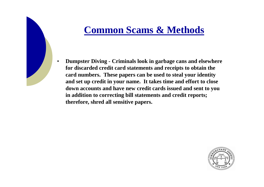#### **Common Scams & Methods**

• **Dumpster Diving - Criminals look in garbage cans and elsewhere for discarded credit card statements and receipts to obtain the card numbers. These papers can be used to steal your identity and set up credit in your name. It takes time and effort to close down accounts and have new credit cards issued and sent to you in addition to correcting bill statements and credit reports; therefore, shred all sensitive papers.**

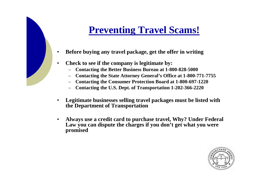#### **Preventing Travel Scams!**

- •**Before buying any travel package, get the offer in writing**
- • **Check to see if the company is legitimate by:**
	- **Contacting the Better Business Bureau at 1-800-828-5000**
	- **Contacting the State Attorney General's Office at 1-800-771-7755**
	- **Contacting the Consumer Protection Board at 1-800-697-1220**
	- **Contacting the U.S. Dept. of Transportation 1-202-366-2220**
- • **Legitimate businesses selling travel packages must be listed with the Department of Transportation**
- $\bullet$  **Always use a credit card to purchase travel, Why? Under Federal Law you can dispute the charges if you don't get what you were promised**

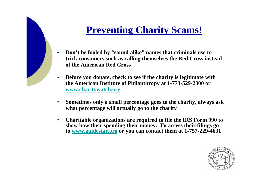#### **Preventing Charity Scams!**

- $\bullet$  **Don't be fooled by "sound alike" names that criminals use to trick consumers such as calling themselves the Red Cross insteadof the American Red Cross**
- $\bullet$  **Before you donate, check to see if the charity is legitimate with the American Institute of Philanthropy at 1-773-529-2300 or www.charitywatch.org**
- $\bullet$  **Sometimes only a small percentage goes to the charity, always ask what percentage will actually go to the charity**
- • **Charitable organizations are required to file the IRS Form 990 to show how their spending their money. To access their filings goto www.guidestar.org or you can contact them at 1-757-229-4631**

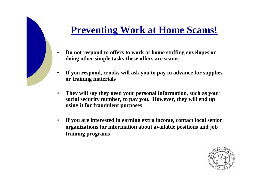#### **Preventing Work at Home Scams!**

- • **Do not respond to offers to work at home stuffing envelopes or doing other simple tasks-these offers are scams**
- • **If you respond, crooks will ask you to pay in advance for supplies or training materials**
- • **They will say they need your personal information, such as your social security number, to pay you. However, they will end up using it for fraudulent purposes**
- • **If you are interested in earning extra income, contact local senior organizations for information about available positions and job training programs**

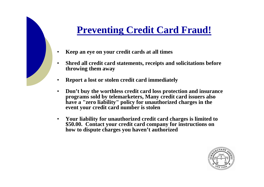#### **Preventing Credit Card Fraud!**

- •**Keep an eye on your credit cards at all times**
- • **Shred all credit card statements, receipts and solicitations before throwing them away**
- •**Report a lost or stolen credit card immediately**
- • **Don't buy the worthless credit card loss protection and insurance programs sold by telemarketers, Many credit card issuers also have a "zero liability" policy for unauthorized charges in the event your credit card number is stolen**
- $\bullet$  **Your liability for unauthorized credit card charges is limited to \$50.00. Contact your credit card company for instructions on how to dispute charges you haven't authorized**

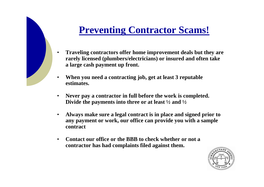### **Preventing Contractor Scams!**

- • **Traveling contractors offer home improvement deals but they are rarely licensed (plumbers/electricians) or insured and often take a large cash payment up front.**
- • **When you need a contracting job, get at least 3 reputable estimates.**
- • **Never pay a contractor in full before the work is completed. Divide the payments into three or at least ½ and ½**
- $\bullet$  **Always make sure a legal contract is in place and signed prior to any payment or work, our office can provide you with a sample contract**
- $\bullet$  **Contact our office or the BBB to check whether or not a contractor has had complaints filed against them.**

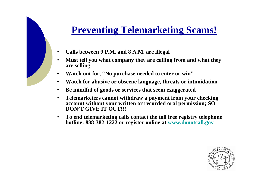#### **Preventing Telemarketing Scams!**

- •**Calls between 9 P.M. and 8 A.M. are illegal**
- • **Must tell you what company they are calling from and what they are selling**
- •**Watch out for, "No purchase needed to enter or win"**
- $\bullet$ **Watch for abusive or obscene language, threats or intimidation**
- •**Be mindful of goods or services that seem exaggerated**
- • **Telemarketers cannot withdraw a payment from your checking account without your written or recorded oral permission; SO DON'T GIVE IT OUT!!!**
- $\bullet$  **To end telemarketing calls contact the toll free registry telephone hotline: 888-382-1222 or register online at www.donotcall.gov**

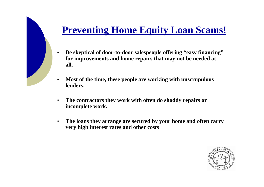# **Preventing Home Equity Loan Scams!**

- • **Be skeptical of door-to-door salespeople offering "easy financing"for improvements and home repairs that may not be needed at all.**
- • **Most of the time, these people are working with unscrupulous lenders.**
- • **The contractors they work with often do shoddy repairs or incomplete work.**
- • **The loans they arrange are secured by your home and often carry very high interest rates and other costs**

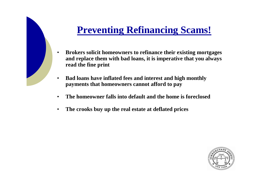### **Preventing Refinancing Scams!**

- $\bullet$  **Brokers solicit homeowners to refinance their existing mortgages and replace them with bad loans, it is imperative that you always read the fine print**
- • **Bad loans have inflated fees and interest and high monthly payments that homeowners cannot afford to pay**
- $\bullet$ **The homeowner falls into default and the home is foreclosed**
- $\bullet$ **The crooks buy up the real estate at deflated prices**

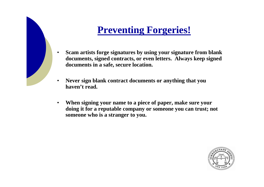### **Preventing Forgeries!**

- • **Scam artists forge signatures by using your signature from blank documents, signed contracts, or even letters. Always keep signed documents in a safe, secure location.**
- • **Never sign blank contract documents or anything that you haven't read.**
- $\bullet$  **When signing your name to a piece of paper, make sure your doing it for a reputable company or someone you can trust; not someone who is a stranger to you.**

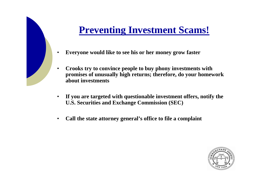#### **Preventing Investment Scams!**

- •**Everyone would like to see his or her money grow faster**
- • **Crooks try to convince people to buy phony investments with promises of unusually high returns; therefore, do your homework about investments**
- $\bullet$  **If you are targeted with questionable investment offers, notify the U.S. Securities and Exchange Commission (SEC)**
- $\bullet$ **Call the state attorney general's office to file a complaint**

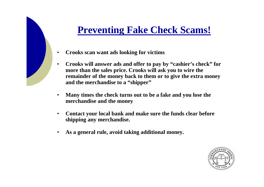#### **Preventing Fake Check Scams!**

- •**Crooks scan want ads looking for victims**
- $\bullet$  **Crooks will answer ads and offer to pay by "cashier's check" for more than the sales price. Crooks will ask you to wire the remainder of the money back to them or to give the extra money and the merchandise to a "shipper"**
- • **Many times the check turns out to be a fake and you lose the merchandise and the money**
- $\bullet$  **Contact your local bank and make sure the funds clear before shipping any merchandise.**
- $\bullet$ **As a general rule, avoid taking additional money.**

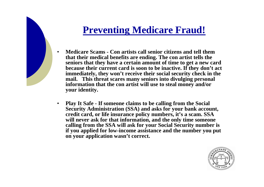#### **Preventing Medicare Fraud!**

- • **Medicare Scams - Con artists call senior citizens and tell them that their medical benefits are ending. The con artist tells the seniors that they have a certain amount of time to get a new card because their current card is soon to be inactive. If they don't act immediately, they won't receive their social security check in the mail. This threat scares many seniors into divulging personal information that the con artist will use to steal money and/or your identity.**
- $\bullet$  **Play It Safe - If someone claims to be calling from the Social Security Administration (SSA) and asks for your bank account, credit card, or life insurance policy numbers, it's a scam. SSA will never ask for that information, and the only time someone calling from the SSA will ask for your Social Security number is if you applied for low-income assistance and the number you put on your application wasn't correct.**

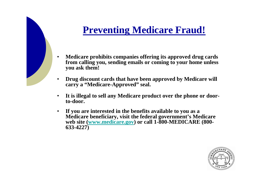### **Preventing Medicare Fraud!**

- • **Medicare prohibits companies offering its approved drug cards from calling you, sending emails or coming to your home unless you ask them!**
- • **Drug discount cards that have been approved by Medicare will carry a "Medicare-Approved" seal.**
- • **It is illegal to sell any Medicare product over the phone or doorto-door.**
- $\bullet$  **If you are interested in the benefits available to you as a Medicare beneficiary, visit the federal government's Medicare web site (www.medicare.gov) or call 1-800-MEDICARE (800-633-4227)**

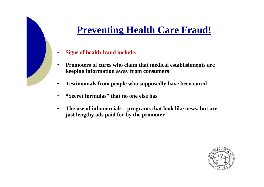#### **Preventing Health Care Fraud!**

- •**Signs of health fraud include:**
- • **Promoters of cures who claim that medical establishments are keeping information away from consumers**
- •**Testimonials from people who supposedly have been cured**
- •**"Secret formulas" that no one else has**
- $\bullet$  **The use of infomercials—programs that look like news, but are just lengthy ads paid for by the promoter**

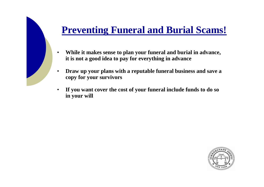#### **Preventing Funeral and Burial Scams!**

- • **While it makes sense to plan your funeral and burial in advance, it is not a good idea to pay for everything in advance**
- • **Draw up your plans with a reputable funeral business and save a copy for your survivors**
- • **If you want cover the cost of your funeral include funds to do so in your will**

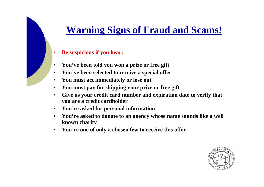#### **Warning Signs of Fraud and Scams!**

- •**Be suspicious if you hear:**
- $\bullet$ **You've been told you won a prize or free gift**
- •**You've been selected to receive a special offer**
- •**You must act immediately or lose out**
- •**You must pay for shipping your prize or free gift**
- • **Give us your credit card number and expiration date to verify that you are a credit cardholder**
- $\bullet$ **You're asked for personal information**
- **You're asked to donate to an agency whose name sounds like a well**   $\bullet$ **known charity**
- $\bullet$ **You're one of only a chosen few to receive this offer**

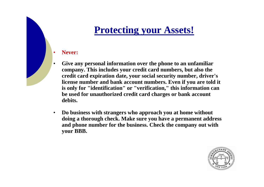#### **Protecting your Assets!**

#### **Never:**

•

- • **Give any personal information over the phone to an unfamiliar company. This includes your credit card numbers, but also the credit card expiration date, your social security number, driver's license number and bank account numbers. Even if you are told it is only for "identification" or "verification," this information can be used for unauthorized credit card charges or bank account debits.**
- $\bullet$  **Do business with strangers who approach you at home without doing a thorough check. Make sure you have a permanent address and phone number for the business. Check the company out with your BBB.**

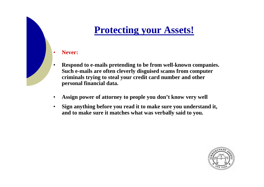#### **Protecting your Assets!**

#### **Never:**

•

- • **Respond to e-mails pretending to be from well-known companies. Such e-mails are often cleverly disguised scams from computer criminals trying to steal your credit card number and other personal financial data.**
- •**Assign power of attorney to people you don't know very well**
- $\bullet$  **Sign anything before you read it to make sure you understand it, and to make sure it matches what was verbally said to you.**

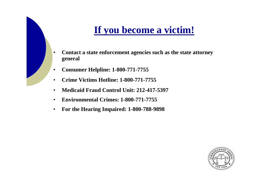#### **If you become a victim!**

- • **Contact a state enforcement agencies such as the state attorney general**
- •**Consumer Helpline: 1-800-771-7755**
- •**Crime Victims Hotline: 1-800-771-7755**
- •**Medicaid Fraud Control Unit: 212-417-5397**
- $\bullet$ **Environmental Crimes: 1-800-771-7755**
- $\bullet$ **For the Hearing Impaired: 1-800-788-9898**

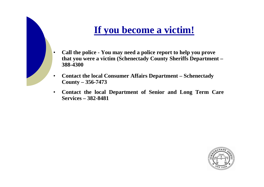#### **If you become a victim!**

- • **Call the police - You may need a police report to help you prove that you were a victim (Schenectady County Sheriffs Department –388-4300**
- • **Contact the local Consumer Affairs Department – Schenectady County – 356-7473**
- $\bullet$  **Contact the local Department of Senior and Long Term Care Services – 382-8481**

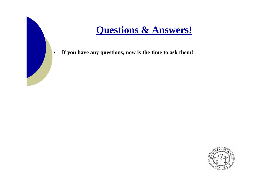#### **Questions & Answers!**

•**If you have any questions, now is the time to ask them!**